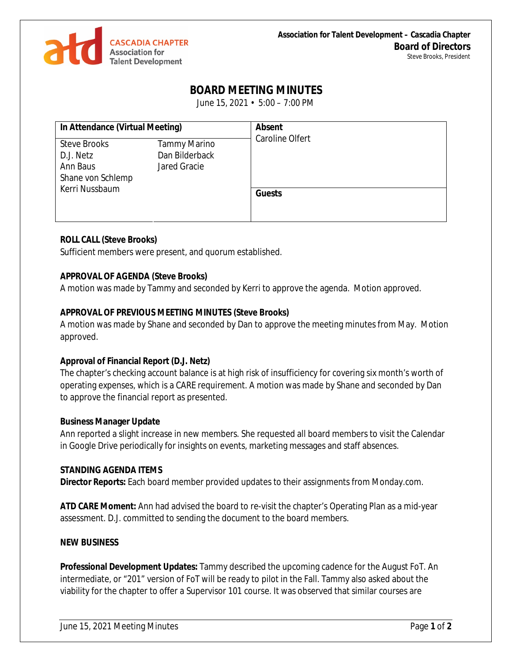

# **BOARD MEETING MINUTES**

June 15, 2021 • 5:00 – 7:00 PM

| In Attendance (Virtual Meeting) |                     | <b>Absent</b><br><b>Caroline Olfert</b> |
|---------------------------------|---------------------|-----------------------------------------|
| <b>Steve Brooks</b>             | <b>Tammy Marino</b> |                                         |
| D.J. Netz                       | Dan Bilderback      |                                         |
| Ann Baus                        | Jared Gracie        |                                         |
| Shane von Schlemp               |                     |                                         |
| Kerri Nussbaum                  |                     |                                         |
|                                 |                     | <b>Guests</b>                           |
|                                 |                     |                                         |
|                                 |                     |                                         |

#### **ROLL CALL (Steve Brooks)**

Sufficient members were present, and quorum established.

#### **APPROVAL OF AGENDA (Steve Brooks)**

A motion was made by Tammy and seconded by Kerri to approve the agenda. Motion approved.

### **APPROVAL OF PREVIOUS MEETING MINUTES (Steve Brooks)**

A motion was made by Shane and seconded by Dan to approve the meeting minutes from May. Motion approved.

#### **Approval of Financial Report (D.J. Netz)**

The chapter's checking account balance is at high risk of insufficiency for covering six month's worth of operating expenses, which is a CARE requirement. A motion was made by Shane and seconded by Dan to approve the financial report as presented.

#### **Business Manager Update**

Ann reported a slight increase in new members. She requested all board members to visit the Calendar in Google Drive periodically for insights on events, marketing messages and staff absences.

#### **STANDING AGENDA ITEMS**

**Director Reports:** Each board member provided updates to their assignments from Monday.com.

**ATD CARE Moment:** Ann had advised the board to re-visit the chapter's Operating Plan as a mid-year assessment. D.J. committed to sending the document to the board members.

#### **NEW BUSINESS**

**Professional Development Updates:** Tammy described the upcoming cadence for the August FoT. An intermediate, or "201" version of FoT will be ready to pilot in the Fall. Tammy also asked about the viability for the chapter to offer a Supervisor 101 course. It was observed that similar courses are